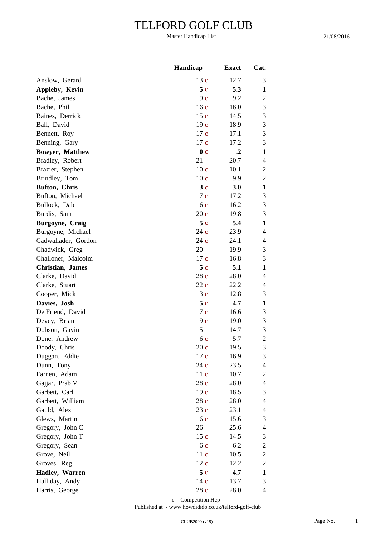|                          | Handicap        | <b>Exact</b>         | Cat.                     |
|--------------------------|-----------------|----------------------|--------------------------|
| Anslow, Gerard           | 13 c            | 12.7                 | 3                        |
| Appleby, Kevin           | 5c              | 5.3                  | $\mathbf{1}$             |
| Bache, James             | 9c              | 9.2                  | $\overline{2}$           |
| Bache, Phil              | 16c             | 16.0                 | 3                        |
| Baines, Derrick          | 15c             | 14.5                 | $\mathfrak{Z}$           |
| Ball, David              | 19c             | 18.9                 | 3                        |
| Bennett, Roy             | 17 c            | 17.1                 | 3                        |
| Benning, Gary            | 17 c            | 17.2                 | 3                        |
| Bowyer, Matthew          | 0 <sub>c</sub>  | $\cdot$ <sup>2</sup> | $\mathbf{1}$             |
| Bradley, Robert          | 21              | 20.7                 | $\overline{4}$           |
| Brazier, Stephen         | 10 <sub>c</sub> | 10.1                 | $\sqrt{2}$               |
| Brindley, Tom            | 10c             | 9.9                  | $\sqrt{2}$               |
| Bufton, Chris            | 3c              | 3.0                  | $\mathbf{1}$             |
| Bufton, Michael          | 17 c            | 17.2                 | 3                        |
| Bullock, Dale            | 16c             | 16.2                 | 3                        |
| Burdis, Sam              | 20c             | 19.8                 | 3                        |
| Burgoyne, Craig          | 5c              | 5.4                  | $\mathbf{1}$             |
| Burgoyne, Michael        | 24 c            | 23.9                 | $\overline{4}$           |
| Cadwallader, Gordon      | 24 c            | 24.1                 | $\overline{4}$           |
| Chadwick, Greg           | 20              | 19.9                 | 3                        |
| Challoner, Malcolm       | 17 c            | 16.8                 | 3                        |
| <b>Christian</b> , James | 5c              | 5.1                  | $\mathbf{1}$             |
| Clarke, David            | 28 c            | 28.0                 | $\overline{4}$           |
| Clarke, Stuart           | 22c             | 22.2                 | 4                        |
| Cooper, Mick             | 13 c            | 12.8                 | $\mathfrak{Z}$           |
| Davies, Josh             | 5c              | 4.7                  | $\mathbf{1}$             |
| De Friend, David         | 17 c            | 16.6                 | $\mathfrak{Z}$           |
| Devey, Brian             | 19c             | 19.0                 | $\mathfrak{Z}$           |
| Dobson, Gavin            | 15              | 14.7                 | $\mathfrak{Z}$           |
| Done, Andrew             | 6c              | 5.7                  | $\overline{c}$           |
| Doody, Chris             | 20c             | 19.5                 | 3                        |
| Duggan, Eddie            | 17c             | 16.9                 | 3                        |
| Dunn, Tony               | 24 c            | 23.5                 | 4                        |
| Farnen, Adam             | 11c             | 10.7                 | $\sqrt{2}$               |
| Gajjar, Prab V           | 28 c            | 28.0                 | $\overline{4}$           |
| Garbett, Carl            | 19 <sub>c</sub> | 18.5                 | 3                        |
| Garbett, William         | 28c             | 28.0                 | $\overline{4}$           |
| Gauld, Alex              | 23 c            | 23.1                 | 4                        |
| Glews, Martin            | 16c             | 15.6                 | 3                        |
| Gregory, John C          | 26              | 25.6                 | $\overline{4}$           |
| Gregory, John T          | 15c             | 14.5                 | 3                        |
| Gregory, Sean            | 6c              | 6.2                  | $\sqrt{2}$               |
| Grove, Neil              | 11c             | 10.5                 | $\sqrt{2}$               |
| Groves, Reg              | 12c             | 12.2                 | $\sqrt{2}$               |
| Hadley, Warren           | 5c              | 4.7                  | $\mathbf{1}$             |
| Halliday, Andy           | 14 c            | 13.7                 | 3                        |
| Harris, George           | 28c             | 28.0                 | $\overline{\mathcal{A}}$ |
|                          |                 |                      |                          |

 $\ensuremath{\mathbf{c}} = \ensuremath{\mathbf{Competition}}$  Hcp

Published at :- www.howdidido.co.uk/telford-golf-club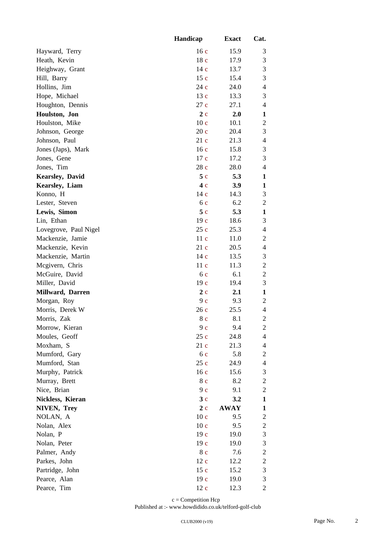|                         | Handicap        | <b>Exact</b> | Cat.           |
|-------------------------|-----------------|--------------|----------------|
| Hayward, Terry          | 16c             | 15.9         | 3              |
| Heath, Kevin            | 18 c            | 17.9         | $\mathfrak{Z}$ |
| Heighway, Grant         | 14 c            | 13.7         | $\mathfrak{Z}$ |
| Hill, Barry             | 15c             | 15.4         | $\mathfrak{Z}$ |
| Hollins, Jim            | 24 c            | 24.0         | $\overline{4}$ |
| Hope, Michael           | 13 c            | 13.3         | 3              |
| Houghton, Dennis        | 27c             | 27.1         | $\overline{4}$ |
| Houlston, Jon           | 2c              | 2.0          | $\mathbf{1}$   |
| Houlston, Mike          | 10c             | 10.1         | $\sqrt{2}$     |
| Johnson, George         | 20c             | 20.4         | 3              |
| Johnson, Paul           | 21c             | 21.3         | $\overline{4}$ |
| Jones (Japs), Mark      | 16c             | 15.8         | 3              |
| Jones, Gene             | 17c             | 17.2         | 3              |
| Jones, Tim              | 28 c            | 28.0         | $\overline{4}$ |
| <b>Kearsley</b> , David | 5c              | 5.3          | $\mathbf{1}$   |
| Kearsley, Liam          | 4c              | 3.9          | $\mathbf{1}$   |
| Konno, H                | 14c             | 14.3         | $\mathfrak{Z}$ |
| Lester, Steven          | 6c              | 6.2          | $\mathfrak{2}$ |
| Lewis, Simon            | 5c              | 5.3          | $\mathbf{1}$   |
| Lin, Ethan              | 19c             | 18.6         | 3              |
| Lovegrove, Paul Nigel   | 25c             | 25.3         | $\overline{4}$ |
| Mackenzie, Jamie        | 11c             | 11.0         | $\sqrt{2}$     |
| Mackenzie, Kevin        | 21c             | 20.5         | $\overline{4}$ |
| Mackenzie, Martin       | 14c             | 13.5         | 3              |
| Mcgivern, Chris         | 11c             | 11.3         | $\sqrt{2}$     |
| McGuire, David          | 6c              | 6.1          | $\sqrt{2}$     |
| Miller, David           | 19c             | 19.4         | 3              |
| Millward, Darren        | 2c              | 2.1          | $\mathbf{1}$   |
| Morgan, Roy             | 9c              | 9.3          | $\sqrt{2}$     |
| Morris, Derek W         | 26c             | 25.5         | $\overline{4}$ |
| Morris, Zak             | 8 c             | 8.1          | $\sqrt{2}$     |
| Morrow, Kieran          | 9c              | 9.4          | $\mathbf{2}$   |
| Moules, Geoff           | 25c             | 24.8         | $\overline{4}$ |
| Moxham, S               | 21c             | 21.3         | 4              |
| Mumford, Gary           | 6c              | 5.8          | $\sqrt{2}$     |
| Mumford, Stan           | 25c             | 24.9         | $\overline{4}$ |
| Murphy, Patrick         | 16c             | 15.6         | 3              |
| Murray, Brett           | 8 c             | 8.2          | $\sqrt{2}$     |
| Nice, Brian             | 9c              | 9.1          | $\sqrt{2}$     |
| Nickless, Kieran        | 3c              | 3.2          | $\mathbf{1}$   |
| NIVEN, Trey             | 2c              | <b>AWAY</b>  | 1              |
| NOLAN, A                | 10 <sub>c</sub> | 9.5          | $\overline{c}$ |
| Nolan, Alex             | 10c             | 9.5          | $\overline{c}$ |
| Nolan, P                | 19c             | 19.0         | 3              |
| Nolan, Peter            | 19c             | 19.0         | 3              |
| Palmer, Andy            | 8 c             | 7.6          | $\overline{c}$ |
| Parkes, John            | 12c             | 12.2         | $\sqrt{2}$     |
| Partridge, John         | 15c             | 15.2         | $\mathfrak{Z}$ |
| Pearce, Alan            | 19c             | 19.0         | $\mathfrak{Z}$ |
| Pearce, Tim             | $12c$           | 12.3         | $\mathfrak{2}$ |

 $\ensuremath{\mathbf{c}} = \text{Competition~Hep}$ 

Published at :- www.howdidido.co.uk/telford-golf-club